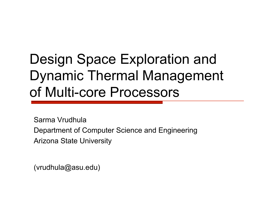# Design Space Exploration and Dynamic Thermal Management of Multi-core Processors

Sarma Vrudhula Department of Computer Science and Engineering Arizona State University

(vrudhula@asu.edu)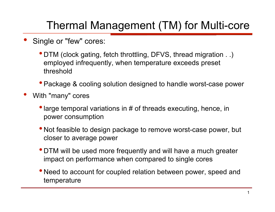### Thermal Management (TM) for Multi-core

- Single or "few" cores:
	- DTM (clock gating, fetch throttling, DFVS, thread migration . .) employed infrequently, when temperature exceeds preset threshold
	- Package & cooling solution designed to handle worst-case power
- With "many" cores
	- large temporal variations in # of threads executing, hence, in power consumption
	- Not feasible to design package to remove worst-case power, but closer to average power
	- DTM will be used more frequently and will have a much greater impact on performance when compared to single cores
	- Need to account for coupled relation between power, speed and temperature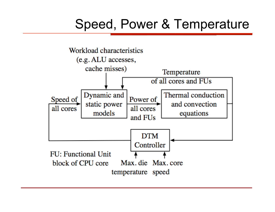## Speed, Power & Temperature

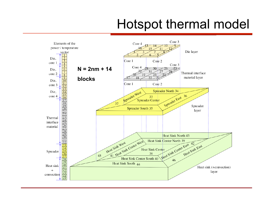## Hotspot thermal model

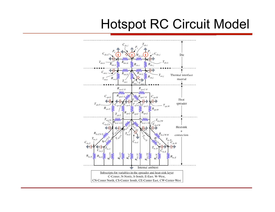## Hotspot RC Circuit Model

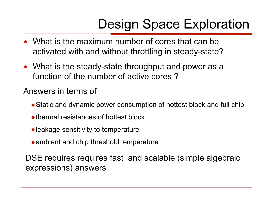# Design Space Exploration

- What is the maximum number of cores that can be activated with and without throttling in steady-state?
- What is the steady-state throughput and power as a function of the number of active cores ?

Answers in terms of

- Static and dynamic power consumption of hottest block and full chip
- thermal resistances of hottest block
- leakage sensitivity to temperature
- ambient and chip threshold temperature

DSE requires requires fast and scalable (simple algebraic expressions) answers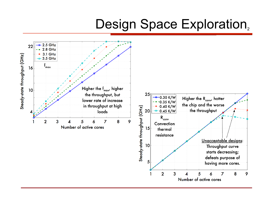### Design Space Exploration,

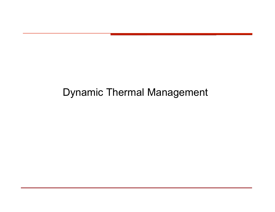### Dynamic Thermal Management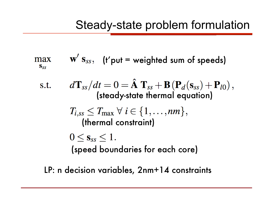### Steady-state problem formulation

$$
\max_{\mathbf{S}_{SS}} \qquad \mathbf{W}' \; \mathbf{S}_{SS}, \quad \text{(f'put = weighted sum of speeds)}
$$

s.t. 
$$
d\mathbf{T}_{ss}/dt = 0 = \hat{\mathbf{A}} \mathbf{T}_{ss} + \mathbf{B} (\mathbf{P}_d(\mathbf{s}_{ss}) + \mathbf{P}_{l0}),
$$
  
\n(steady-state thermal equation)  
\n
$$
T_{i,ss} \leq T_{\text{max}} \ \forall \ i \in \{1, \ldots, nm\},
$$
  
\n(thermal constraint)  
\n
$$
0 \leq \mathbf{s}_{ss} \leq 1.
$$
  
\n(speed boundaries for each core)

LP: n decision variables, 2nm+14 constraints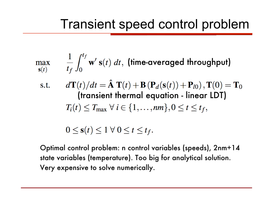### Transient speed control problem

$$
\max_{\mathbf{s}(t)} \quad \frac{1}{t_f} \int_0^{t_f} \mathbf{w}' \, \mathbf{s}(t) \, dt, \text{ (time-averaged throughout)}
$$

s.t. 
$$
d\mathbf{T}(t)/dt = \hat{\mathbf{A}} \mathbf{T}(t) + \mathbf{B} (\mathbf{P}_d(\mathbf{s}(t)) + \mathbf{P}_{l0}), \mathbf{T}(0) = \mathbf{T}_0
$$
  
**(transient thermal equation - linear LDT)**  

$$
T_i(t) \leq T_{\text{max}} \ \forall \ i \in \{1, ..., nm\}, 0 \leq t \leq t_f,
$$

$$
0\leq \mathbf{s}(t)\leq 1\ \forall\ 0\leq t\leq t_f.
$$

Optimal control problem: n control variables (speeds), 2nm+14 state variables (temperature). Too big for analytical solution. Very expensive to solve numerically.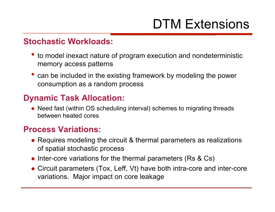# DTM Extensions

#### **Stochastic Workloads:**

- to model inexact nature of program execution and nondeterministic memory access patterns
- can be included in the existing framework by modeling the power consumption as a random process

### **Dynamic Task Allocation:**

• Need fast (within OS scheduling interval) schemes to migrating threads between heated cores

#### **Process Variations:**

- Requires modeling the circuit & thermal parameters as realizations of spatial stochastic process
- Inter-core variations for the thermal parameters (Rs & Cs)
- Circuit parameters (Tox, Leff, Vt) have both intra-core and inter-core variations. Major impact on core leakage